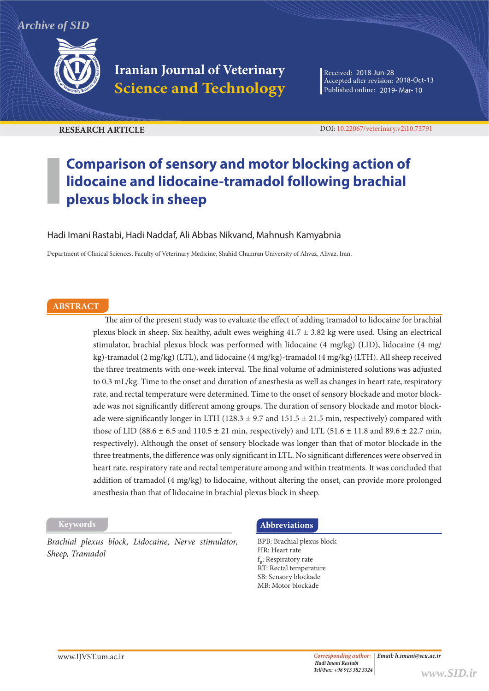*Archive of SID*



**Iranian Journal of Veterinary Science and Technology**

Received: 2018-Jun-28 Accepted after revision: 2018-Oct-13 Published online: 2019- Mar- 10

**RESEARCH ARTICLE** DOI: 10.22067/veterinary.v2i10.73791

# **Comparison of sensory and motor blocking action of lidocaine and lidocaine-tramadol following brachial plexus block in sheep**

Hadi Imani Rastabi, Hadi Naddaf, Ali Abbas Nikvand, Mahnush Kamyabnia

Department of Clinical Sciences, Faculty of Veterinary Medicine, Shahid Chamran University of Ahvaz, Ahvaz, Iran.

#### **ABSTRACT**

The aim of the present study was to evaluate the effect of adding tramadol to lidocaine for brachial plexus block in sheep. Six healthy, adult ewes weighing 41.7 ± 3.82 kg were used. Using an electrical stimulator, brachial plexus block was performed with lidocaine (4 mg/kg) (LID), lidocaine (4 mg/ kg)-tramadol (2 mg/kg) (LTL), and lidocaine (4 mg/kg)-tramadol (4 mg/kg) (LTH). All sheep received the three treatments with one-week interval. The final volume of administered solutions was adjusted to 0.3 mL/kg. Time to the onset and duration of anesthesia as well as changes in heart rate, respiratory rate, and rectal temperature were determined. Time to the onset of sensory blockade and motor blockade was not significantly different among groups. The duration of sensory blockade and motor blockade were significantly longer in LTH (128.3  $\pm$  9.7 and 151.5  $\pm$  21.5 min, respectively) compared with those of LID (88.6  $\pm$  6.5 and 110.5  $\pm$  21 min, respectively) and LTL (51.6  $\pm$  11.8 and 89.6  $\pm$  22.7 min, respectively). Although the onset of sensory blockade was longer than that of motor blockade in the three treatments, the difference was only significant in LTL. No significant differences were observed in heart rate, respiratory rate and rectal temperature among and within treatments. It was concluded that addition of tramadol (4 mg/kg) to lidocaine, without altering the onset, can provide more prolonged anesthesia than that of lidocaine in brachial plexus block in sheep.

*Brachial plexus block, Lidocaine, Nerve stimulator, Sheep, Tramadol*

## **Keywords Abbreviations**

BPB: Brachial plexus block HR: Heart rate f R: Respiratory rate RT: Rectal temperature SB: Sensory blockade MB: Motor blockade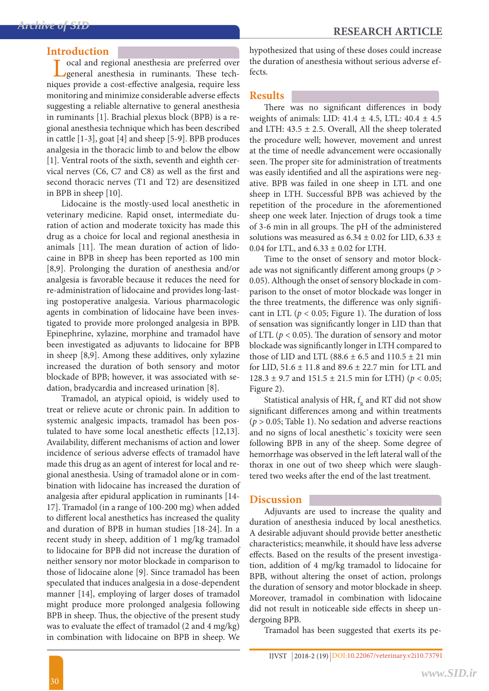### **Introduction**

ocal and regional anesthesia are preferred over general anesthesia in ruminants. These techniques provide a cost-effective analgesia, require less monitoring and minimize considerable adverse effects suggesting a reliable alternative to general anesthesia in ruminants [1]. Brachial plexus block (BPB) is a regional anesthesia technique which has been described in cattle [1-3], goat [4] and sheep [5-9]. BPB produces analgesia in the thoracic limb to and below the elbow [1]. Ventral roots of the sixth, seventh and eighth cervical nerves (C6, C7 and C8) as well as the first and second thoracic nerves (T1 and T2) are desensitized in BPB in sheep [10].

Lidocaine is the mostly-used local anesthetic in veterinary medicine. Rapid onset, intermediate duration of action and moderate toxicity has made this drug as a choice for local and regional anesthesia in animals [11]. The mean duration of action of lidocaine in BPB in sheep has been reported as 100 min [8,9]. Prolonging the duration of anesthesia and/or analgesia is favorable because it reduces the need for re-administration of lidocaine and provides long-lasting postoperative analgesia. Various pharmacologic agents in combination of lidocaine have been investigated to provide more prolonged analgesia in BPB. Epinephrine, xylazine, morphine and tramadol have been investigated as adjuvants to lidocaine for BPB in sheep [8,9]. Among these additives, only xylazine increased the duration of both sensory and motor blockade of BPB; however, it was associated with sedation, bradycardia and increased urination [8].

Tramadol, an atypical opioid, is widely used to treat or relieve acute or chronic pain. In addition to systemic analgesic impacts, tramadol has been postulated to have some local anesthetic effects [12,13]. Availability, different mechanisms of action and lower incidence of serious adverse effects of tramadol have made this drug as an agent of interest for local and regional anesthesia. Using of tramadol alone or in combination with lidocaine has increased the duration of analgesia after epidural application in ruminants [14- 17]. Tramadol (in a range of 100-200 mg) when added to different local anesthetics has increased the quality and duration of BPB in human studies [18-24]. In a recent study in sheep, addition of 1 mg/kg tramadol to lidocaine for BPB did not increase the duration of neither sensory nor motor blockade in comparison to those of lidocaine alone [9]. Since tramadol has been speculated that induces analgesia in a dose-dependent manner [14], employing of larger doses of tramadol might produce more prolonged analgesia following BPB in sheep. Thus, the objective of the present study was to evaluate the effect of tramadol (2 and 4 mg/kg) in combination with lidocaine on BPB in sheep. We

hypothesized that using of these doses could increase the duration of anesthesia without serious adverse effects.

## **Results**

There was no significant differences in body weights of animals: LID:  $41.4 \pm 4.5$ , LTL:  $40.4 \pm 4.5$ and LTH:  $43.5 \pm 2.5$ . Overall, All the sheep tolerated the procedure well; however, movement and unrest at the time of needle advancement were occasionally seen. The proper site for administration of treatments was easily identified and all the aspirations were negative. BPB was failed in one sheep in LTL and one sheep in LTH. Successful BPB was achieved by the repetition of the procedure in the aforementioned sheep one week later. Injection of drugs took a time of 3-6 min in all groups. The pH of the administered solutions was measured as  $6.34 \pm 0.02$  for LID,  $6.33 \pm$ 0.04 for LTL, and  $6.33 \pm 0.02$  for LTH.

Time to the onset of sensory and motor blockade was not significantly different among groups (*p* > 0.05). Although the onset of sensory blockade in comparison to the onset of motor blockade was longer in the three treatments, the difference was only significant in LTL ( $p < 0.05$ ; Figure 1). The duration of loss of sensation was significantly longer in LID than that of LTL ( $p < 0.05$ ). The duration of sensory and motor blockade was significantly longer in LTH compared to those of LID and LTL (88.6  $\pm$  6.5 and 110.5  $\pm$  21 min for LID, 51.6 ± 11.8 and 89.6 ± 22.7 min for LTL and 128.3 ± 9.7 and 151.5 ± 21.5 min for LTH) ( $p < 0.05$ ; Figure 2).

Statistical analysis of HR,  $f_R$  and RT did not show significant differences among and within treatments (*p* > 0.05; Table 1). No sedation and adverse reactions and no signs of local anesthetic`s toxicity were seen following BPB in any of the sheep. Some degree of hemorrhage was observed in the left lateral wall of the thorax in one out of two sheep which were slaughtered two weeks after the end of the last treatment.

## **Discussion**

Adjuvants are used to increase the quality and duration of anesthesia induced by local anesthetics. A desirable adjuvant should provide better anesthetic characteristics; meanwhile, it should have less adverse effects. Based on the results of the present investigation, addition of 4 mg/kg tramadol to lidocaine for BPB, without altering the onset of action, prolongs the duration of sensory and motor blockade in sheep. Moreover, tramadol in combination with lidocaine did not result in noticeable side effects in sheep undergoing BPB.

Tramadol has been suggested that exerts its pe-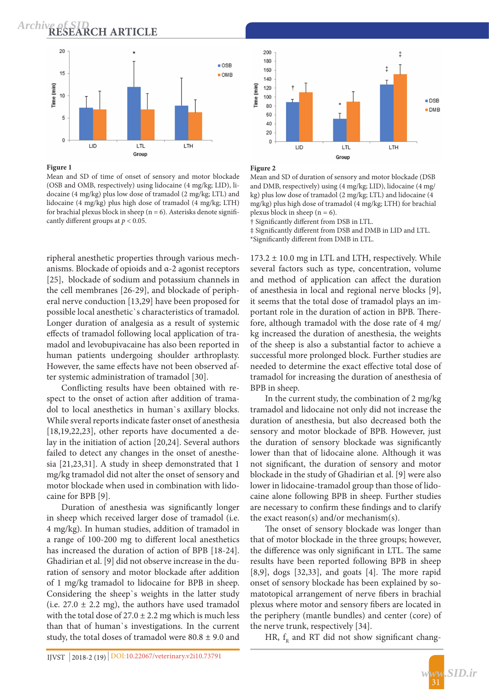**RESEARCH ARTICLE** *Archive of SID*



**Figure 1**

Mean and SD of time of onset of sensory and motor blockade (OSB and OMB, respectively) using lidocaine (4 mg/kg; LID), lidocaine (4 mg/kg) plus low dose of tramadol (2 mg/kg; LTL) and lidocaine (4 mg/kg) plus high dose of tramadol (4 mg/kg; LTH) for brachial plexus block in sheep ( $n = 6$ ). Asterisks denote significantly different groups at *p* < 0.05.



**Figure 2**

Mean and SD of duration of sensory and motor blockade (DSB and DMB, respectively) using (4 mg/kg; LID), lidocaine (4 mg/ kg) plus low dose of tramadol (2 mg/kg; LTL) and lidocaine (4 mg/kg) plus high dose of tramadol (4 mg/kg; LTH) for brachial plexus block in sheep ( $n = 6$ ).

LTL

Group

LTH

† Significantly different from DSB in LTL.

LID

‡ Significantly different from DSB and DMB in LID and LTL. \*Significantly different from DMB in LTL.

ripheral anesthetic properties through various mechanisms. Blockade of opioids and α-2 agonist receptors [25], blockade of sodium and potassium channels in the cell membranes [26-29], and blockade of peripheral nerve conduction [13,29] have been proposed for possible local anesthetic`s characteristics of tramadol. Longer duration of analgesia as a result of systemic effects of tramadol following local application of tramadol and levobupivacaine has also been reported in human patients undergoing shoulder arthroplasty. However, the same effects have not been observed after systemic administration of tramadol [30].

Conflicting results have been obtained with respect to the onset of action after addition of tramadol to local anesthetics in human`s axillary blocks. While sveral reports indicate faster onset of anesthesia [18,19,22,23], other reports have documented a delay in the initiation of action [20,24]. Several authors failed to detect any changes in the onset of anesthesia [21,23,31]. A study in sheep demonstrated that 1 mg/kg tramadol did not alter the onset of sensory and motor blockade when used in combination with lidocaine for BPB [9].

Duration of anesthesia was significantly longer in sheep which received larger dose of tramadol (i.e. 4 mg/kg). In human studies, addition of tramadol in a range of 100-200 mg to different local anesthetics has increased the duration of action of BPB [18-24]. Ghadirian et al. [9] did not observe increase in the duration of sensory and motor blockade after addition of 1 mg/kg tramadol to lidocaine for BPB in sheep. Considering the sheep`s weights in the latter study (i.e.  $27.0 \pm 2.2$  mg), the authors have used tramadol with the total dose of  $27.0 \pm 2.2$  mg which is much less than that of human`s investigations. In the current study, the total doses of tramadol were  $80.8 \pm 9.0$  and

 $173.2 \pm 10.0$  mg in LTL and LTH, respectively. While several factors such as type, concentration, volume and method of application can affect the duration of anesthesia in local and regional nerve blocks [9], it seems that the total dose of tramadol plays an important role in the duration of action in BPB. Therefore, although tramadol with the dose rate of 4 mg/ kg increased the duration of anesthesia, the weights of the sheep is also a substantial factor to achieve a successful more prolonged block. Further studies are needed to determine the exact effective total dose of tramadol for increasing the duration of anesthesia of BPB in sheep.

In the current study, the combination of 2 mg/kg tramadol and lidocaine not only did not increase the duration of anesthesia, but also decreased both the sensory and motor blockade of BPB. However, just the duration of sensory blockade was significantly lower than that of lidocaine alone. Although it was not significant, the duration of sensory and motor blockade in the study of Ghadirian et al. [9] were also lower in lidocaine-tramadol group than those of lidocaine alone following BPB in sheep. Further studies are necessary to confirm these findings and to clarify the exact reason(s) and/or mechanism(s).

The onset of sensory blockade was longer than that of motor blockade in the three groups; however, the difference was only significant in LTL. The same results have been reported following BPB in sheep [8,9], dogs [32,33], and goats [4]. The more rapid onset of sensory blockade has been explained by somatotopical arrangement of nerve fibers in brachial plexus where motor and sensory fibers are located in the periphery (mantle bundles) and center (core) of the nerve trunk, respectively [34].

HR,  $f<sub>p</sub>$  and RT did not show significant chang-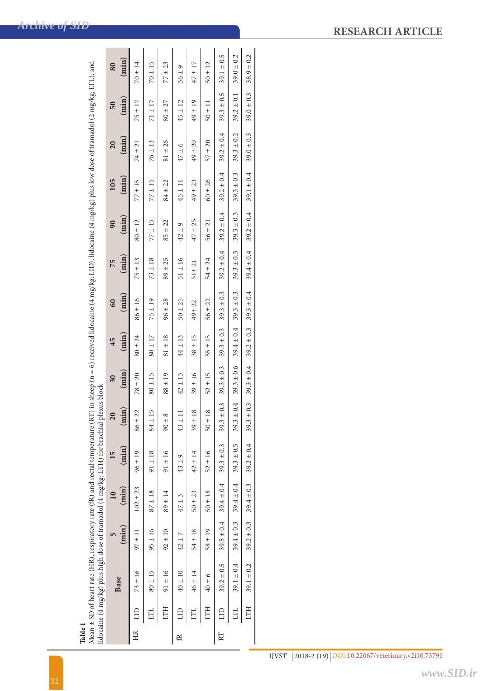| lidocaine (4 mg/kg) plus high dose of tramadol (4 mg/kg; LTH) for brachial plexus block | $(\min)$<br>$95 \pm 16$<br>$92 \pm 10$<br>$97 \pm 11$<br>$42 \pm 7$ | $102 \pm 23$<br>$(\min)$<br>$87 \pm 18$<br>$89 \pm 14$<br>$47 \pm 3$ | $(\min)$<br>$91 \pm 16$<br>$91 \pm 18$<br>$96 \pm 19$<br>15<br>$43 \pm 9$ | $(\min)$<br>$84 \pm 15$<br>$86 \pm 22$<br>$43 \pm 11$<br>$90 \pm 8$ | $(\min)$<br>$80 \pm 15$<br>$88 \pm 19$<br>$78 \pm 20$<br>$42 \pm 13$ | $(\min)$<br>$81 \pm 18$<br>$80 \pm 24$<br>$80 \pm 17$<br>$44 \pm 13$<br>45 | $(\min)$<br>$86 \pm 16$<br>$75 \pm 19$<br>$96 \pm 28$<br>$50 \pm 25$<br>60 | (min)<br>$51 \pm 16$<br>$73 \pm 18$<br>$89 \pm 25$<br>$75 \pm 13$<br>75 | (min)<br>$80 \pm 12$<br>$77 \pm 15$<br>$85 \pm 22$<br>90<br>$42 \pm 9$ | (min)<br>$77 \pm 15$<br>105<br>$77 \pm 15$<br>$84 \pm 22$<br>$45 \pm 11$ | $(\min)$<br>$81 \pm 26$<br>$76 \pm 13$<br>20<br>$74 \pm 21$<br>$47 \pm 6$ | (min)<br>$75 \pm 17$<br>$71 \pm 17$<br>$80 + 27$<br>$45 \pm 12$<br>50 | $(\min)$<br>$70 \pm 15$<br>$70 \pm 14$<br>$77 \pm 23$<br>80<br>$36 \pm 9$ |
|-----------------------------------------------------------------------------------------|---------------------------------------------------------------------|----------------------------------------------------------------------|---------------------------------------------------------------------------|---------------------------------------------------------------------|----------------------------------------------------------------------|----------------------------------------------------------------------------|----------------------------------------------------------------------------|-------------------------------------------------------------------------|------------------------------------------------------------------------|--------------------------------------------------------------------------|---------------------------------------------------------------------------|-----------------------------------------------------------------------|---------------------------------------------------------------------------|
| $54 \pm 18$                                                                             |                                                                     | $50 \pm 23$                                                          | $42 \pm 14$                                                               | $39 \pm 18$                                                         | $39 \pm 16$                                                          | $38 \pm 15$                                                                | 49±22                                                                      | $51 \pm 21$                                                             | $47 \pm 25$                                                            | $49 \pm 23$                                                              | $49 \pm 20$                                                               | $49 \pm 19$                                                           | $47 \pm 17$                                                               |
| $58 \pm 19$                                                                             |                                                                     | $50 \pm 18$                                                          | $52 \pm 16$                                                               | $50 \pm 18$                                                         | $52 \pm 15$                                                          | $55 \pm 15$                                                                | $56 \pm 22$                                                                | $54 \pm 24$                                                             | $56 \pm 21$                                                            | $60 \pm 26$                                                              | $57 \pm 20$                                                               | $50 \pm 11$                                                           | $50 \pm 12$                                                               |
| $39.5 \pm 0.4$ $39.4 \pm 0.4$ $39.3 \pm 0.3$                                            |                                                                     |                                                                      |                                                                           | ± 0.3<br>39.3                                                       | $39.3 \pm 0.3$                                                       | $39.3 \pm 0.3$                                                             | $39.3 \pm 0.3$                                                             | $39.2 \pm 0.4$                                                          | $39.2 \pm 0.4$                                                         | $39.2 \pm 0.4$                                                           | $39.2 \pm 0.4$                                                            | $39.3 \pm 0.5$                                                        | $39.1 \pm 0.5$                                                            |
| $39.4 \pm 0.3$ $39.4 \pm 0.4$ $39.3 \pm 0.5$                                            |                                                                     |                                                                      |                                                                           | ±0.4<br>39.3                                                        | $39.3 \pm 0.6$                                                       | $39.4 \pm 0.4$ 39.3 $\pm 0.3$                                              |                                                                            | $39.3 \pm 0.3$                                                          | $39.3 \pm 0.3$                                                         | $39.3 \pm 0.3$                                                           | $39.3 \pm 0.2$                                                            | $39.2 \pm 0.1$                                                        | $39.0 \pm 0.2$                                                            |
| $39.2 \pm 0.3$ $39.4 \pm 0.3$ $39.2 \pm 0.4$                                            |                                                                     |                                                                      |                                                                           | ± 0.3<br>39.3                                                       | $39.3 \pm 0.4$                                                       | $39.2 \pm 0.3$                                                             | $39.3 \pm 0.4$                                                             | $39.4 \pm 0.4$                                                          | $39.2 \pm 0.4$                                                         | $39.1 \pm 0.4$                                                           | $39.0 \pm 0.3$                                                            | $39.0 \pm 0.3$                                                        | $38.9 \pm 0.2$                                                            |

**Table 1**<br>Mean ± SD of heart rate (HR), respiratory rate (fR) and rectal temperature (RT) in sheep (n = 6) received lidocaine (4 mg/kg; LID), lidocaine (4 mg/kg) plus low dose of tramadol (2 mg/kg; LTL), and<br>lidocaine (4 m Mean  $\pm$  SD of heart rate (HR), respiratory rate (fR) and rectal temperature (RT) in sheep (n = 6) received lidocaine (4 mg/kg; LID), lidocaine (4 mg/kg) plus low dose of tramadol (2 mg/kg; LTL), and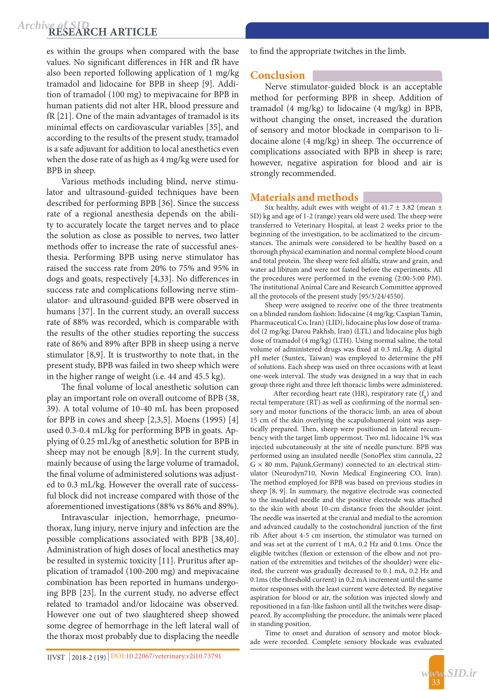## **RESEARCH ARTICLE** *Archive of SID*

es within the groups when compared with the base values. No significant differences in HR and fR have also been reported following application of 1 mg/kg tramadol and lidocaine for BPB in sheep [9]. Addition of tramadol (100 mg) to mepivacaine for BPB in human patients did not alter HR, blood pressure and fR [21]. One of the main advantages of tramadol is its minimal effects on cardiovascular variables [35], and according to the results of the present study, tramadol is a safe adjuvant for addition to local anesthetics even when the dose rate of as high as 4 mg/kg were used for BPB in sheep.

Various methods including blind, nerve stimulator and ultrasound-guided techniques have been described for performing BPB [36]. Since the success rate of a regional anesthesia depends on the ability to accurately locate the target nerves and to place the solution as close as possible to nerves, two latter methods offer to increase the rate of successful anesthesia. Performing BPB using nerve stimulator has raised the success rate from 20% to 75% and 95% in dogs and goats, respectively [4,33]. No differences in success rate and complications following nerve stimulator- and ultrasound-guided BPB were observed in humans [37]. In the current study, an overall success rate of 88% was recorded, which is comparable with the results of the other studies reporting the success rate of 86% and 89% after BPB in sheep using a nerve stimulator [8,9]. It is trustworthy to note that, in the present study, BPB was failed in two sheep which were in the higher range of weight (i.e. 44 and 45.5 kg).

The final volume of local anesthetic solution can play an important role on overall outcome of BPB (38, 39). A total volume of 10-40 mL has been proposed for BPB in cows and sheep [2,3,5]. Moens (1995) [4] used 0.3-0.4 mL/kg for performing BPB in goats. Applying of 0.25 mL/kg of anesthetic solution for BPB in sheep may not be enough [8,9]. In the current study, mainly because of using the large volume of tramadol, the final volume of administered solutions was adjusted to 0.3 mL/kg. However the overall rate of successful block did not increase compared with those of the aforementioned investigations (88% vs 86% and 89%).

Intravascular injection, hemorrhage, pneumothorax, lung injury, nerve injury and infection are the possible complications associated with BPB [38,40]. Administration of high doses of local anesthetics may be resulted in systemic toxicity [11]. Pruritus after application of tramadol (100-200 mg) and mepivacaine combination has been reported in humans undergoing BPB [23]. In the current study, no adverse effect related to tramadol and/or lidocaine was observed. However one out of two slaughtered sheep showed some degree of hemorrhage in the left lateral wall of the thorax most probably due to displacing the needle

to find the appropriate twitches in the limb.

## **Conclusion**

Nerve stimulator-guided block is an acceptable method for performing BPB in sheep. Addition of tramadol (4 mg/kg) to lidocaine (4 mg/kg) in BPB, without changing the onset, increased the duration of sensory and motor blockade in comparison to lidocaine alone (4 mg/kg) in sheep. The occurrence of complications associated with BPB in sheep is rare; however, negative aspiration for blood and air is strongly recommended.

## **Materials and methods**

Six healthy, adult ewes with weight of  $41.7 \pm 3.82$  (mean  $\pm$ SD) kg and age of 1-2 (range) years old were used. The sheep were transferred to Veterinary Hospital, at least 2 weeks prior to the beginning of the investigation, to be acclimatized to the circumstances. The animals were considered to be healthy based on a thorough physical examination and normal complete blood count and total protein. The sheep were fed alfalfa, straw and grain, and water ad libitum and were not fasted before the experiments. All the procedures were performed in the evening (2:00-5:00 PM). The institutional Animal Care and Research Committee approved all the protocols of the present study [95/3/24/4550].

Sheep were assigned to receive one of the three treatments on a blinded random fashion: lidocaine (4 mg/kg; Caspian Tamin, Pharmaceutical Co, Iran) (LID), lidocaine plus low dose of tramadol (2 mg/kg; Darou Pakhsh, Iran) (LTL) and lidocaine plus high dose of tramadol (4 mg/kg) (LTH). Using normal saline, the total volume of administered drugs was fixed at 0.3 mL/kg. A digital pH meter (Suntex, Taiwan) was employed to determine the pH of solutions. Each sheep was used on three occasions with at least one-week interval. The study was designed in a way that in each group three right and three left thoracic limbs were administered.

After recording heart rate (HR), respiratory rate  $(f_n)$  and rectal temperature (RT) as well as confirming of the normal sensory and motor functions of the thoracic limb, an area of about 15 cm of the skin overlying the scapulohumeral joint was aseptically prepared. Then, sheep were positioned in lateral recumbency with the target limb uppermost. Two mL lidocaine 1% was injected subcutaneously at the site of needle puncture. BPB was performed using an insulated needle (SonoPlex stim cannula, 22  $G \times 80$  mm, Pajunk, Germany) connected to an electrical stimulator (Neurodyn710, Novin Medical Engineering CO, Iran). The method employed for BPB was based on previous studies in sheep [8, 9]. In summary, the negative electrode was connected to the insulated needle and the positive electrode was attached to the skin with about 10-cm distance from the shoulder joint. The needle was inserted at the cranial and medial to the acromion and advanced caudally to the costochondral junction of the first rib. After about 4-5 cm insertion, the stimulator was turned on and was set at the current of 1 mA, 0.2 Hz and 0.1ms. Once the eligible twitches (flexion or extension of the elbow and not pronation of the extremities and twitches of the shoulder) were elicited, the current was gradually decreased to 0.1 mA, 0.2 Hz and 0.1ms (the threshold current) in 0.2 mA increment until the same motor responses with the least current were detected. By negative aspiration for blood or air, the solution was injected slowly and repositioned in a fan-like fashion until all the twitches were disappeared. By accomplishing the procedure, the animals were placed in standing position.

Time to onset and duration of sensory and motor blockade were recorded. Complete sensory blockade was evaluated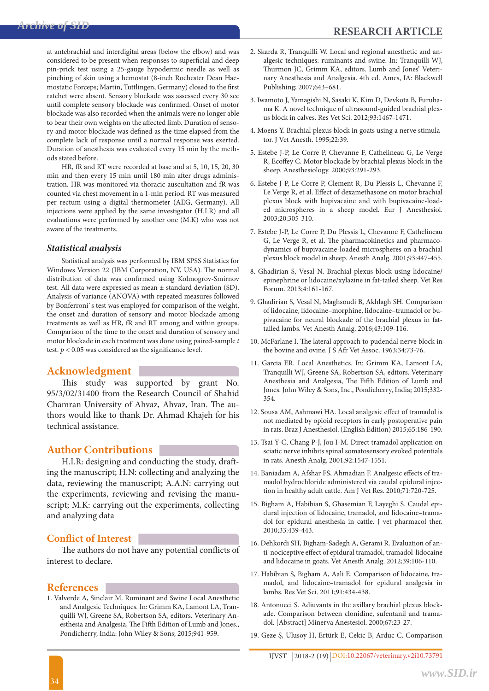at antebrachial and interdigital areas (below the elbow) and was considered to be present when responses to superficial and deep pin-prick test using a 25-gauge hypodermic needle as well as pinching of skin using a hemostat (8-inch Rochester Dean Haemostatic Forceps; Martin, Tuttlingen, Germany) closed to the first ratchet were absent. Sensory blockade was assessed every 30 sec until complete sensory blockade was confirmed. Onset of motor blockade was also recorded when the animals were no longer able to bear their own weights on the affected limb. Duration of sensory and motor blockade was defined as the time elapsed from the complete lack of response until a normal response was exerted. Duration of anesthesia was evaluated every 15 min by the methods stated before.

HR, fR and RT were recorded at base and at 5, 10, 15, 20, 30 min and then every 15 min until 180 min after drugs administration. HR was monitored via thoracic auscultation and fR was counted via chest movement in a 1-min period. RT was measured per rectum using a digital thermometer (AEG, Germany). All injections were applied by the same investigator (H.I.R) and all evaluations were performed by another one (M.K) who was not aware of the treatments.

#### *Statistical analysis*

Statistical analysis was performed by IBM SPSS Statistics for Windows Version 22 (IBM Corporation, NY, USA). The normal distribution of data was confirmed using Kolmogrov-Smirnov test. All data were expressed as mean ± standard deviation (SD). Analysis of variance (ANOVA) with repeated measures followed by Bonferroni`s test was employed for comparison of the weight, the onset and duration of sensory and motor blockade among treatments as well as HR, fR and RT among and within groups. Comparison of the time to the onset and duration of sensory and motor blockade in each treatment was done using paired-sample *t*  test.  $p < 0.05$  was considered as the significance level.

## **Acknowledgment**

This study was supported by grant No. 95/3/02/31400 from the Research Council of Shahid Chamran University of Ahvaz, Ahvaz, Iran. The authors would like to thank Dr. Ahmad Khajeh for his technical assistance.

## **Author Contributions**

H.I.R: designing and conducting the study, drafting the manuscript; H.N: collecting and analyzing the data, reviewing the manuscript; A.A.N: carrying out the experiments, reviewing and revising the manuscript; M.K: carrying out the experiments, collecting and analyzing data

## **Conflict of Interest**

The authors do not have any potential conflicts of interest to declare.

#### **References**

1. Valverde A, Sinclair M. Ruminant and Swine Local Anesthetic and Analgesic Techniques. In: Grimm KA, Lamont LA, Tranquilli WJ, Greene SA, Robertson SA, editors. Veterinary Anesthesia and Analgesia, The Fifth Edition of Lumb and Jones., Pondicherry, India: John Wiley & Sons; 2015;941-959.

- 2. Skarda R, Tranquilli W. Local and regional anesthetic and analgesic techniques: ruminants and swine. In: Tranquilli WJ, Thurmon JC, Grimm KA, editors. Lumb and Jones' Veterinary Anesthesia and Analgesia. 4th ed. Ames, IA: Blackwell Publishing; 2007;643–681.
- 3. Iwamoto J, Yamagishi N, Sasaki K, Kim D, Devkota B, Furuhama K. A novel technique of ultrasound-guided brachial plexus block in calves. Res Vet Sci. 2012;93:1467-1471.
- 4. Moens Y. Brachial plexus block in goats using a nerve stimulator. J Vet Anesth. 1995;22:39.
- 5. Estebe J-P, Le Corre P, Chevanne F, Cathelineau G, Le Verge R, Ecoffey C. Motor blockade by brachial plexus block in the sheep. Anesthesiology. 2000;93:291-293.
- 6. Estebe J-P, Le Corre P, Clement R, Du Plessis L, Chevanne F, Le Verge R, et al. Effect of dexamethasone on motor brachial plexus block with bupivacaine and with bupivacaine-loaded microspheres in a sheep model. Eur J Anesthesiol. 2003;20:305-310.
- 7. Estebe J-P, Le Corre P, Du Plessis L, Chevanne F, Cathelineau G, Le Verge R, et al. The pharmacokinetics and pharmacodynamics of bupivacaine-loaded microspheres on a brachial plexus block model in sheep. Anesth Analg. 2001;93:447-455.
- 8. Ghadirian S, Vesal N. Brachial plexus block using lidocaine/ epinephrine or lidocaine/xylazine in fat-tailed sheep. Vet Res Forum. 2013;4:161-167.
- 9. Ghadirian S, Vesal N, Maghsoudi B, Akhlagh SH. Comparison of lidocaine, lidocaine–morphine, lidocaine–tramadol or bupivacaine for neural blockade of the brachial plexus in fattailed lambs. Vet Anesth Analg. 2016;43:109-116.
- 10. McFarlane I. The lateral approach to pudendal nerve block in the bovine and ovine. J S Afr Vet Assoc. 1963;34:73-76.
- 11. Garcia ER. Local Anesthetics. In: Grimm KA, Lamont LA, Tranquilli WJ, Greene SA, Robertson SA, editors. Veterinary Anesthesia and Analgesia, The Fifth Edition of Lumb and Jones. John Wiley & Sons, Inc., Pondicherry, India; 2015;332- 354.
- 12. Sousa AM, Ashmawi HA. Local analgesic effect of tramadol is not mediated by opioid receptors in early postoperative pain in rats. Braz J Anesthesiol. (English Edition) 2015;65:186-190.
- 13. Tsai Y-C, Chang P-J, Jou I-M. Direct tramadol application on sciatic nerve inhibits spinal somatosensory evoked potentials in rats. Anesth Analg. 2001;92:1547-1551.
- 14. Baniadam A, Afshar FS, Ahmadian F. Analgesic effects of tramadol hydrochloride administered via caudal epidural injection in healthy adult cattle. Am J Vet Res. 2010;71:720-725.
- 15. Bigham A, Habibian S, Ghasemian F, Layeghi S. Caudal epidural injection of lidocaine, tramadol, and lidocaine–tramadol for epidural anesthesia in cattle. J vet pharmacol ther. 2010;33:439-443.
- 16. Dehkordi SH, Bigham-Sadegh A, Gerami R. Evaluation of anti-nociceptive effect of epidural tramadol, tramadol-lidocaine and lidocaine in goats. Vet Anesth Analg. 2012;39:106-110.
- 17. Habibian S, Bigham A, Aali E. Comparison of lidocaine, tramadol, and lidocaine–tramadol for epidural analgesia in lambs. Res Vet Sci. 2011;91:434-438.
- 18. Antonucci S. Adiuvants in the axillary brachial plexus blockade. Comparison between clonidine, sufentanil and tramadol. [Abstract] Minerva Anestesiol. 2000;67:23-27.
- 19. Geze Ş, Ulusoy H, Ertürk E, Cekic B, Arduc C. Comparison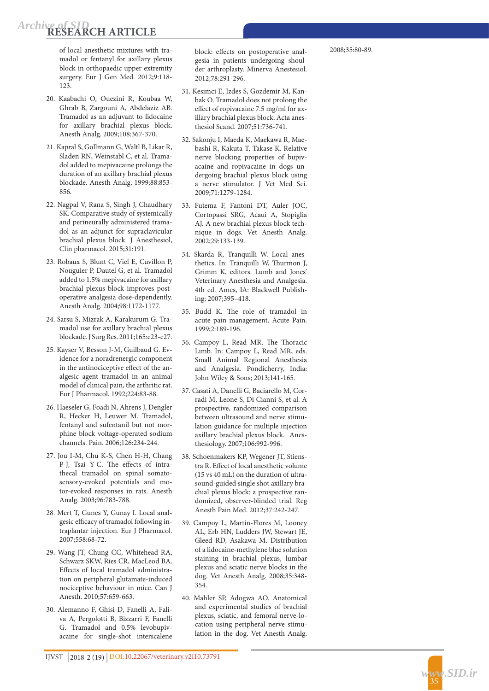of local anesthetic mixtures with tra madol or fentanyl for axillary plexus block in orthopaedic upper extremity surgery. Eur J Gen Med. 2012;9:118- 123.

- 20. Kaabachi O, Ouezini R, Koubaa W, Ghrab B, Zargouni A, Abdelaziz AB. Tramadol as an adjuvant to lidocaine for axillary brachial plexus block. Anesth Analg. 2009;108:367-370.
- 21. Kapral S, Gollmann G, Waltl B, Likar R, Sladen RN, Weinstabl C, et al. Trama dol added to mepivacaine prolongs the duration of an axillary brachial plexus blockade. Anesth Analg. 1999;88:853- 856.
- 22. Nagpal V, Rana S, Singh J, Chaudhary SK. Comparative study of systemically and perineurally administered trama dol as an adjunct for supraclavicular brachial plexus block. J Anesthesiol, Clin pharmacol. 2015;31:191.
- 23. Robaux S, Blunt C, Viel E, Cuvillon P, Nouguier P, Dautel G, et al. Tramadol added to 1.5% mepivacaine for axillary brachial plexus block improves post operative analgesia dose-dependently. Anesth Analg. 2004;98:1172-1177.
- 24. Sarsu S, Mizrak A, Karakurum G. Tra madol use for axillary brachial plexus blockade. J Surg Res. 2011;165:e23-e27.
- 25. Kayser V, Besson J-M, Guilbaud G. Ev idence for a noradrenergic component in the antinociceptive effect of the an algesic agent tramadol in an animal model of clinical pain, the arthritic rat. Eur J Pharmacol. 1992;224:83-88.
- 26. Haeseler G, Foadi N, Ahrens J, Dengler R, Hecker H, Leuwer M. Tramadol, fentanyl and sufentanil but not mor phine block voltage-operated sodium channels. Pain. 2006;126:234-244.
- 27. Jou I-M, Chu K-S, Chen H-H, Chang P-J, Tsai Y-C. The effects of intra thecal tramadol on spinal somato sensory-evoked potentials and mo tor-evoked responses in rats. Anesth Analg. 2003;96:783-788.
- 28. Mert T, Gunes Y, Gunay I. Local anal gesic efficacy of tramadol following in traplantar injection. Eur J Pharmacol. 2007;558:68-72.
- 29. Wang JT, Chung CC, Whitehead RA, Schwarz SKW, Ries CR, MacLeod BA. Effects of local tramadol administra tion on peripheral glutamate-induced nociceptive behaviour in mice. Can J Anesth. 2010;57:659-663.
- 30. Alemanno F, Ghisi D, Fanelli A, Fali va A, Pergolotti B, Bizzarri F, Fanelli G. Tramadol and 0.5% levobupiv acaine for single-shot interscalene

block: effects on postoperative anal gesia in patients undergoing shoul der arthroplasty. Minerva Anestesiol. 2012;78:291-296.

- 31. Kesimci E, Izdes S, Gozdemir M, Kan bak O. Tramadol does not prolong the effect of ropivacaine 7.5 mg/ml for ax illary brachial plexus block. Acta anes thesiol Scand. 2007;51:736-741.
- 32. Sakonju I, Maeda K, Maekawa R, Mae bashi R, Kakuta T, Takase K. Relative nerve blocking properties of bupiv acaine and ropivacaine in dogs un dergoing brachial plexus block using a nerve stimulator. J Vet Med Sci. 2009;71:1279-1284.
- 33. Futema F, Fantoni DT, Auler JOC, Cortopassi SRG, Acaui A, Stopiglia AJ. A new brachial plexus block tech nique in dogs. Vet Anesth Analg. 2002;29:133-139.
- 34. Skarda R, Tranquilli W. Local anes thetics. In: Tranquilli W, Thurmon J, Grimm K, editors. Lumb and Jones' Veterinary Anesthesia and Analgesia. 4th ed. Ames, IA: Blackwell Publish ing; 2007;395–418.
- 35. Budd K. The role of tramadol in acute pain management. Acute Pain. 1999;2:189-196.
- 36. Campoy L, Read MR. The Thoracic Limb. In: Campoy L, Read MR, eds. Small Animal Regional Anesthesia and Analgesia. Pondicherry, India: John Wiley & Sons; 2013;141-165.
- 37. Casati A, Danelli G, Baciarello M, Cor radi M, Leone S, Di Cianni S, et al. A prospective, randomized comparison between ultrasound and nerve stimu lation guidance for multiple injection axillary brachial plexus block. Anes thesiology. 2007;106:992-996.
- 38. Schoenmakers KP, Wegener JT, Stiens tra R. Effect of local anesthetic volume (15 vs 40 mL) on the duration of ultra sound-guided single shot axillary bra chial plexus block: a prospective ran domized, observer-blinded trial. Reg Anesth Pain Med. 2012;37:242-247.
- 39. Campoy L, Martin‐Flores M, Looney AL, Erb HN, Ludders JW, Stewart JE, Gleed RD, Asakawa M. Distribution of a lidocaine‐methylene blue solution staining in brachial plexus, lumbar plexus and sciatic nerve blocks in the dog. Vet Anesth Analg. 2008;35:348- 354.
- 40. Mahler SP, Adogwa AO. Anatomical and experimental studies of brachial plexus, sciatic, and femoral nerve‐lo cation using peripheral nerve stimu lation in the dog. Vet Anesth Analg.

35

*<www.SID.ir>*